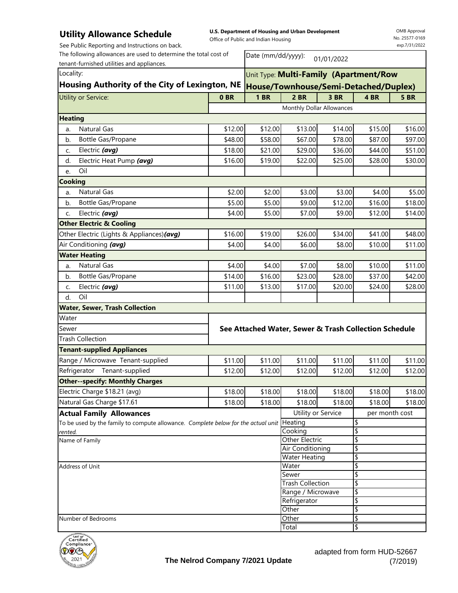### **Utility Allowance Schedule**

**U.S. Department of Housing and Urban Development**

Office of Public and Indian Housing

|                | See Public Reporting and Instructions on back.                                            |            |                                        |                                                       |         |                | exp.7/31/2022 |  |
|----------------|-------------------------------------------------------------------------------------------|------------|----------------------------------------|-------------------------------------------------------|---------|----------------|---------------|--|
|                | The following allowances are used to determine the total cost of                          |            | Date (mm/dd/yyyy):                     |                                                       |         |                |               |  |
|                | tenant-furnished utilities and appliances.                                                | 01/01/2022 |                                        |                                                       |         |                |               |  |
| Locality:      |                                                                                           |            | Unit Type: Multi-Family (Apartment/Row |                                                       |         |                |               |  |
|                | Housing Authority of the City of Lexington, NE                                            |            | House/Townhouse/Semi-Detached/Duplex)  |                                                       |         |                |               |  |
|                | <b>Utility or Service:</b>                                                                | 0BR        | <b>1 BR</b>                            | $2$ BR                                                | 3 BR    | 4 BR           | <b>5 BR</b>   |  |
|                |                                                                                           |            |                                        | Monthly Dollar Allowances                             |         |                |               |  |
| <b>Heating</b> |                                                                                           |            |                                        |                                                       |         |                |               |  |
| a.             | <b>Natural Gas</b>                                                                        | \$12.00    | \$12.00                                | \$13.00                                               | \$14.00 | \$15.00        | \$16.00       |  |
| b.             | Bottle Gas/Propane                                                                        | \$48.00    | \$58.00                                | \$67.00                                               | \$78.00 | \$87.00        | \$97.00       |  |
| C.             | Electric (avg)                                                                            | \$18.00    | \$21.00                                | \$29.00                                               | \$36.00 | \$44.00        | \$51.00       |  |
| d.             | Electric Heat Pump (avg)                                                                  | \$16.00    | \$19.00                                | \$22.00                                               | \$25.00 | \$28.00        | \$30.00       |  |
| e.             | Oil                                                                                       |            |                                        |                                                       |         |                |               |  |
| <b>Cooking</b> |                                                                                           |            |                                        |                                                       |         |                |               |  |
| a.             | <b>Natural Gas</b>                                                                        | \$2.00     | \$2.00                                 | \$3.00                                                | \$3.00  | \$4.00         | \$5.00        |  |
| b.             | Bottle Gas/Propane                                                                        | \$5.00     | \$5.00                                 | \$9.00                                                | \$12.00 | \$16.00        | \$18.00       |  |
| C.             | Electric (avg)                                                                            | \$4.00     | \$5.00                                 | \$7.00                                                | \$9.00  | \$12.00        | \$14.00       |  |
|                | <b>Other Electric &amp; Cooling</b>                                                       |            |                                        |                                                       |         |                |               |  |
|                | Other Electric (Lights & Appliances) (avg)                                                | \$16.00    | \$19.00                                | \$26.00                                               | \$34.00 | \$41.00        | \$48.00       |  |
|                | Air Conditioning (avg)                                                                    | \$4.00     | \$4.00                                 | \$6.00                                                | \$8.00  | \$10.00        | \$11.00       |  |
|                | <b>Water Heating</b>                                                                      |            |                                        |                                                       |         |                |               |  |
| a.             | <b>Natural Gas</b>                                                                        | \$4.00     | \$4.00                                 | \$7.00                                                | \$8.00  | \$10.00        | \$11.00       |  |
| b.             | Bottle Gas/Propane                                                                        | \$14.00    | \$16.00                                | \$23.00                                               | \$28.00 | \$37.00        | \$42.00       |  |
| C.             | Electric (avg)                                                                            | \$11.00    | \$13.00                                | \$17.00                                               | \$20.00 | \$24.00        | \$28.00       |  |
| d.             | Oil                                                                                       |            |                                        |                                                       |         |                |               |  |
|                | <b>Water, Sewer, Trash Collection</b>                                                     |            |                                        |                                                       |         |                |               |  |
| Water          |                                                                                           |            |                                        |                                                       |         |                |               |  |
| Sewer          |                                                                                           |            |                                        | See Attached Water, Sewer & Trash Collection Schedule |         |                |               |  |
|                | <b>Trash Collection</b>                                                                   |            |                                        |                                                       |         |                |               |  |
|                | <b>Tenant-supplied Appliances</b>                                                         |            |                                        |                                                       |         |                |               |  |
|                | Range / Microwave Tenant-supplied                                                         | \$11.00    | \$11.00                                | \$11.00                                               | \$11.00 | \$11.00        | \$11.00       |  |
|                | Refrigerator Tenant-supplied                                                              | \$12.00    | \$12.00                                | \$12.00                                               | \$12.00 | \$12.00        | \$12.00       |  |
|                | <b>Other--specify: Monthly Charges</b>                                                    |            |                                        |                                                       |         |                |               |  |
|                | Electric Charge \$18.21 (avg)                                                             | \$18.00    | \$18.00                                | \$18.00                                               | \$18.00 | \$18.00        | \$18.00       |  |
|                | Natural Gas Charge \$17.61                                                                | \$18.00    | \$18.00                                | \$18.00                                               | \$18.00 | \$18.00        | \$18.00       |  |
|                | <b>Actual Family Allowances</b>                                                           |            |                                        | Utility or Service                                    |         | per month cost |               |  |
|                | To be used by the family to compute allowance. Complete below for the actual unit Heating |            |                                        |                                                       |         | \$             |               |  |
| rented.        |                                                                                           |            |                                        | Cooking                                               |         | \$             |               |  |
|                | Name of Family                                                                            |            |                                        | Other Electric<br>Air Conditioning                    |         | \$<br>\$       |               |  |
|                |                                                                                           |            |                                        | <b>Water Heating</b>                                  |         | \$             |               |  |
|                | Address of Unit                                                                           |            |                                        | Water                                                 |         | \$             |               |  |
|                |                                                                                           |            |                                        | Sewer                                                 |         | \$             |               |  |
|                |                                                                                           |            |                                        | <b>Trash Collection</b>                               |         | \$             |               |  |
|                |                                                                                           |            |                                        | Range / Microwave                                     |         | \$             |               |  |
|                |                                                                                           |            |                                        | Refrigerator                                          |         | \$             |               |  |
|                |                                                                                           |            |                                        | Other                                                 |         | \$             |               |  |
|                | Number of Bedrooms                                                                        |            |                                        | Other                                                 |         | \$             |               |  |
|                |                                                                                           |            |                                        | Total                                                 |         | \$             |               |  |

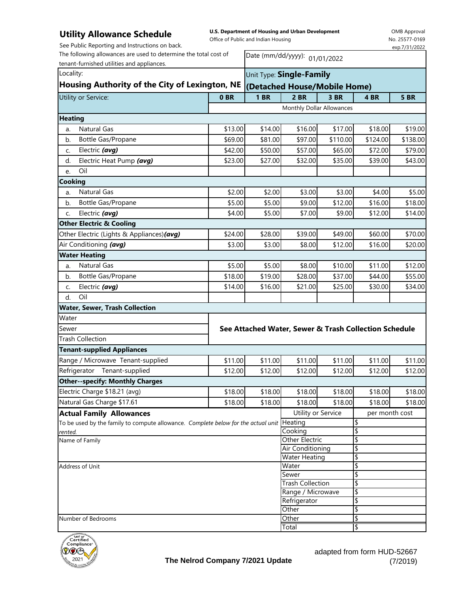## **Utility Allowance Schedule**

**U.S. Department of Housing and Urban Development**

OMB Approval No. 25577-0169 exp.7/31/2022

See Public Reporting and Instructions on back.

The following allowances are used to determine the total cost of

Office of Public and Indian Housing

| The following allowances are used to determine the total cost of                          | Date (mm/dd/yyyy): 01/01/2022 |                         |                                                       |          |                |             |  |
|-------------------------------------------------------------------------------------------|-------------------------------|-------------------------|-------------------------------------------------------|----------|----------------|-------------|--|
| tenant-furnished utilities and appliances.                                                |                               |                         |                                                       |          |                |             |  |
| Locality:                                                                                 | Unit Type: Single-Family      |                         |                                                       |          |                |             |  |
| Housing Authority of the City of Lexington, NE                                            |                               |                         | (Detached House/Mobile Home)                          |          |                |             |  |
| Utility or Service:                                                                       | 0BR                           | 1 <sub>BR</sub>         | 2 BR                                                  | 3 BR     | 4 BR           | <b>5 BR</b> |  |
|                                                                                           |                               |                         | Monthly Dollar Allowances                             |          |                |             |  |
| <b>Heating</b>                                                                            |                               |                         |                                                       |          |                |             |  |
| <b>Natural Gas</b><br>a.                                                                  | \$13.00                       | \$14.00                 | \$16.00                                               | \$17.00  | \$18.00        | \$19.00     |  |
| Bottle Gas/Propane<br>b.                                                                  | \$69.00                       | \$81.00                 | \$97.00                                               | \$110.00 | \$124.00       | \$138.00    |  |
| Electric (avg)<br>C.                                                                      | \$42.00                       | \$50.00                 | \$57.00                                               | \$65.00  | \$72.00        | \$79.00     |  |
| Electric Heat Pump (avg)<br>d.                                                            | \$23.00                       | \$27.00                 | \$32.00                                               | \$35.00  | \$39.00        | \$43.00     |  |
| Oil<br>e.                                                                                 |                               |                         |                                                       |          |                |             |  |
| Cooking                                                                                   |                               |                         |                                                       |          |                |             |  |
| Natural Gas<br>a.                                                                         | \$2.00                        | \$2.00                  | \$3.00                                                | \$3.00   | \$4.00         | \$5.00      |  |
| Bottle Gas/Propane<br>b.                                                                  | \$5.00                        | \$5.00                  | \$9.00                                                | \$12.00  | \$16.00        | \$18.00     |  |
| Electric (avg)<br>C.                                                                      | \$4.00                        | \$5.00                  | \$7.00                                                | \$9.00   | \$12.00        | \$14.00     |  |
| <b>Other Electric &amp; Cooling</b>                                                       |                               |                         |                                                       |          |                |             |  |
| Other Electric (Lights & Appliances) (avg)                                                | \$24.00                       | \$28.00                 | \$39.00                                               | \$49.00  | \$60.00        | \$70.00     |  |
| Air Conditioning (avg)                                                                    | \$3.00                        | \$3.00                  | \$8.00                                                | \$12.00  | \$16.00        | \$20.00     |  |
| <b>Water Heating</b>                                                                      |                               |                         |                                                       |          |                |             |  |
| <b>Natural Gas</b><br>a.                                                                  | \$5.00                        | \$5.00                  | \$8.00                                                | \$10.00  | \$11.00        | \$12.00     |  |
| Bottle Gas/Propane<br>b.                                                                  | \$18.00                       | \$19.00                 | \$28.00                                               | \$37.00  | \$44.00        | \$55.00     |  |
| Electric (avg)<br>C.                                                                      | \$14.00                       | \$16.00                 | \$21.00                                               | \$25.00  | \$30.00        | \$34.00     |  |
| Oil<br>d.                                                                                 |                               |                         |                                                       |          |                |             |  |
| <b>Water, Sewer, Trash Collection</b>                                                     |                               |                         |                                                       |          |                |             |  |
| Water                                                                                     |                               |                         |                                                       |          |                |             |  |
| Sewer                                                                                     |                               |                         | See Attached Water, Sewer & Trash Collection Schedule |          |                |             |  |
| <b>Trash Collection</b>                                                                   |                               |                         |                                                       |          |                |             |  |
| <b>Tenant-supplied Appliances</b>                                                         |                               |                         |                                                       |          |                |             |  |
| Range / Microwave Tenant-supplied                                                         | \$11.00                       | \$11.00                 | \$11.00                                               | \$11.00  | \$11.00        | \$11.00     |  |
| Tenant-supplied<br>Refrigerator                                                           | \$12.00                       | \$12.00                 | \$12.00                                               | \$12.00  | \$12.00        | \$12.00     |  |
| <b>Other--specify: Monthly Charges</b>                                                    |                               |                         |                                                       |          |                |             |  |
| Electric Charge \$18.21 (avg)                                                             | \$18.00                       | \$18.00                 | \$18.00                                               | \$18.00  | \$18.00        | \$18.00     |  |
| Natural Gas Charge \$17.61                                                                | \$18.00                       | \$18.00                 | \$18.00                                               | \$18.00  | \$18.00        | \$18.00     |  |
| <b>Actual Family Allowances</b>                                                           |                               |                         | Utility or Service                                    |          | per month cost |             |  |
| To be used by the family to compute allowance. Complete below for the actual unit Heating |                               |                         |                                                       | \$       |                |             |  |
| rented.                                                                                   |                               | Cooking                 |                                                       | \$       |                |             |  |
| Name of Family                                                                            |                               |                         | Other Electric                                        |          | \$             |             |  |
|                                                                                           |                               |                         | Air Conditioning<br><b>Water Heating</b>              |          | \$<br>\$       |             |  |
| Address of Unit                                                                           | Water                         |                         | \$                                                    |          |                |             |  |
|                                                                                           |                               | Sewer                   |                                                       | \$       |                |             |  |
|                                                                                           |                               | <b>Trash Collection</b> |                                                       | \$       |                |             |  |
|                                                                                           |                               | Range / Microwave       |                                                       | \$       |                |             |  |
|                                                                                           |                               | Refrigerator            |                                                       | \$       |                |             |  |
| Number of Bedrooms                                                                        |                               | Other<br>Other          |                                                       | \$<br>\$ |                |             |  |
|                                                                                           |                               |                         | Total                                                 |          | \$             |             |  |
|                                                                                           |                               |                         |                                                       |          |                |             |  |